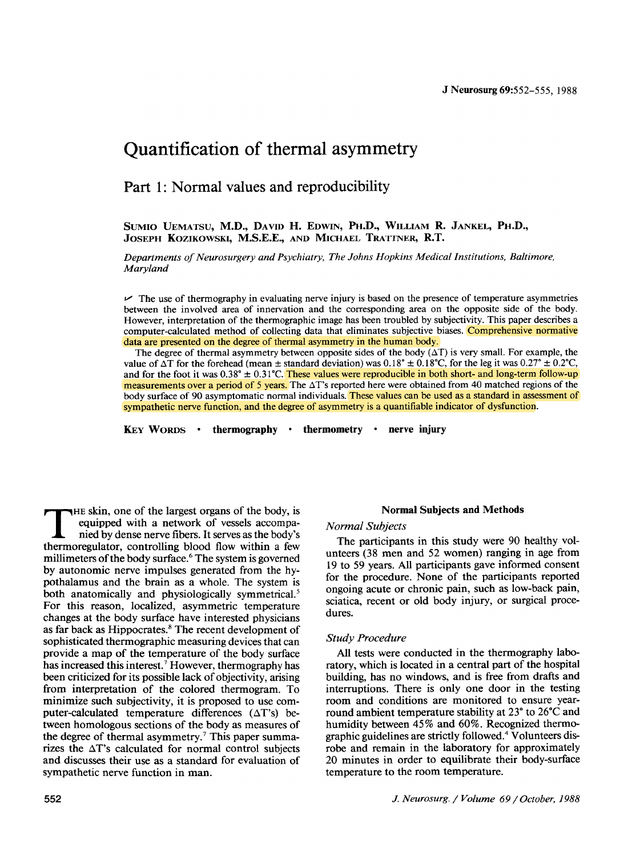# **Quantification of thermal asymmetry**

**Part 1: Normal values and reproducibility** 

SUMIO UEMATSU, M.D., DAVID H. EDWIN, PH.D., WILLIAM R. JANKEL, PH.D., **JOSEPH KOZIKOWSKI, M.S.E.E.,** AND MICHAEL **TRATTNER, R.T.** 

*Departments of Neurosurgery and Psychiatry, The Johns Hopkins Medical Institutions, Baltimore, Maryland* 

 $\vee$  The use of thermography in evaluating nerve injury is based on the presence of temperature asymmetries between the involved area of innervation and the corresponding area on the opposite side of the body. However, interpretation of the thermographic image has been troubled by subjectivity. This paper describes a computer-calculated method of collecting data that eliminates subjective biases. Comprehensive normative data are presented on the degree of thermal asymmetry in the human body.

The degree of thermal asymmetry between opposite sides of the body  $(\Delta T)$  is very small. For example, the value of  $\Delta T$  for the forehead (mean  $\pm$  standard deviation) was  $0.18^\circ \pm 0.18^\circ$ C, for the leg it was  $0.27^\circ \pm 0.2^\circ$ C. and for the foot it was  $0.38^\circ \pm 0.31^\circ$ C. These values were reproducible in both short- and long-term follow-up measurements over a period of 5 years. The  $\Delta T$ 's reported here were obtained from 40 matched regions of the body surface of 90 asymptomatic normal individuals. These values can be used as a standard in assessment of sympathetic nerve function, and the degree of asymmetry is a quantifiable indicator of dysfunction.

**KEY WORDS •** thermography **•** thermometry **•** nerve injury

THE skin, one of the largest organs of the body, is<br>
nied by dense nerve fibers. It serves as the body's<br>
thermoreculates, controlling blood flow within a few equipped with a network of vessels accompathermoregulator, controlling blood flow within a few millimeters of the body surface. 6 The system is governed by autonomic nerve impulses generated from the hypothalamus and the brain as a whole. The system is both anatomically and physiologically symmetrical.<sup>5</sup> For this reason, localized, asymmetric temperature changes at the body surface have interested physicians as far back as Hippocrates. 8 The recent development of sophisticated thermographic measuring devices that can provide a map of the temperature of the body surface has increased this interest.<sup>7</sup> However, thermography has been criticized for its possible lack of objectivity, arising from interpretation of the colored thermogram. To minimize such subjectivity, it is proposed to use computer-calculated temperature differences  $(\Delta T)$ s) between homologous sections of the body as measures of the degree of thermal asymmetry.<sup>7</sup> This paper summarizes the  $\Delta T$ 's calculated for normal control subjects and discusses their use as a standard for evaluation of sympathetic nerve function in man.

### **Normal Subjects and Methods**

### *Normal Subjects*

The participants in this study were 90 healthy volunteers (38 men and 52 women) ranging in age from 19 to 59 years. All participants gave informed consent for the procedure. None of the participants reported ongoing acute or chronic pain, such as low-back pain, sciatica, recent or old body injury, or surgical procedures.

#### *Study Procedure*

All tests were conducted in the thermography laboratory, which is located in a central part of the hospital building, has no windows, and is free from drafts and interruptions. There is only one door in the testing room and conditions are monitored to ensure yearround ambient temperature stability at 23\* to 26"C and humidity between 45% and 60%. Recognized thermographic guidelines are strictly followed. 4 Volunteers disrobe and remain in the laboratory for approximately 20 minutes in order to equilibrate their body-surface temperature to the room temperature.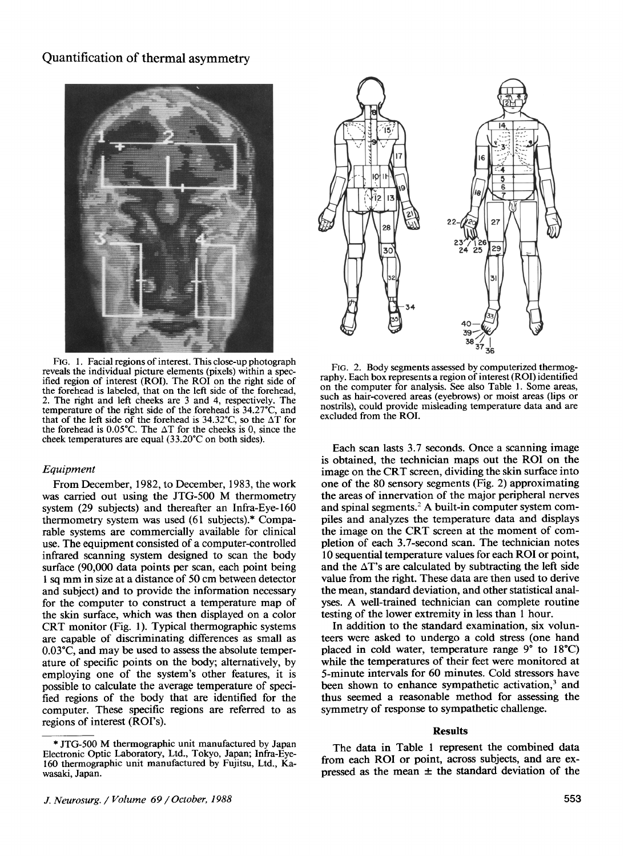# Quantification of thermal asymmetry



FIG. 1. Facial regions of interest. This close-up photograph reveals the individual picture elements (pixels) within a specified region of interest (ROI). The ROI on the right side of the forehead is labeled, that on the left side of the forehead, 2. The right and left cheeks are 3 and 4, respectively. The temperature of the right side of the forehead is 34.27"C, and that of the left side of the forehead is  $34.32^{\circ}$ C, so the  $\Delta T$  for the forehead is  $0.05^{\circ}$ C. The  $\Delta T$  for the cheeks is 0, since the cheek temperatures are equal  $(33.20^{\circ}C)$  on both sides).

#### *Equipment*

From December, 1982, to December, 1983, the work was carried out using the JTG-500 M thermometry system (29 subjects) and thereafter an Infra-Eye-160 thermometry system was used (61 subjects).\* Comparable systems are commercially available for clinical use. The equipment consisted of a computer-controlled infrared scanning system designed to scan the body surface (90,000 data points per scan, each point being 1 sq mm in size at a distance of 50 cm between detector and subject) and to provide the information necessary for the computer to construct a temperature map of the skin surface, which was then displayed on a color CRT monitor (Fig. 1). Typical thermographic systems are capable of discriminating differences as small as 0.03"C, and may be used to assess the absolute temperature of specific points on the body; alternatively, by employing one of the system's other features, it is possible to calculate the average temperature of specified regions of the body that are identified for the computer. These specific regions are referred to as regions of interest (ROI's).



FIG. 2. Body segments assessed by computerized thermography. Each box represents a region of interest (ROI) identified on the computer for analysis. See also Table 1. Some areas, such as hair-covered areas (eyebrows) or moist areas (lips or nostrils), could provide misleading temperature data and are excluded from the ROI.

Each scan lasts 3.7 seconds. Once a scanning image is obtained, the technician maps out the ROI on the image on the CRT screen, dividing the skin surface into one of the 80 sensory segments (Fig. 2) approximating the areas of innervation of the major peripheral nerves and spinal segments.<sup>2</sup> A built-in computer system compiles and analyzes the temperature data and displays the image on the CRT screen at the moment of completion of each 3.7-second scan. The technician notes 10 sequential temperature values for each ROI or point, and the  $\Delta T$ 's are calculated by subtracting the left side value from the right. These data are then used to derive the mean, standard deviation, and other statistical analyses. A well-trained technician can complete routine testing of the lower extremity in less than 1 hour.

In addition to the standard examination, six volunteers were asked to undergo a cold stress (one hand placed in cold water, temperature range  $9^{\circ}$  to  $18^{\circ}$ C) while the temperatures of their feet were monitored at 5-minute intervals for 60 minutes. Cold stressors have been shown to enhance sympathetic activation,<sup>3</sup> and thus seemed a reasonable method for assessing the symmetry of response to sympathetic challenge.

#### **Results**

The data in Table 1 represent the combined data from each ROI or point, across subjects, and are expressed as the mean  $\pm$  the standard deviation of the

**<sup>\*</sup>** JTG-500 M thermographic unit manufactured by Japan Electronic Optic Laboratory, Ltd., Tokyo, Japan; Infra-Eye-160 thermographic unit manufactured by Fujitsu, Ltd., Kawasaki, Japan.

*J. Neurosurg. / Volume 69/October, 1988* 553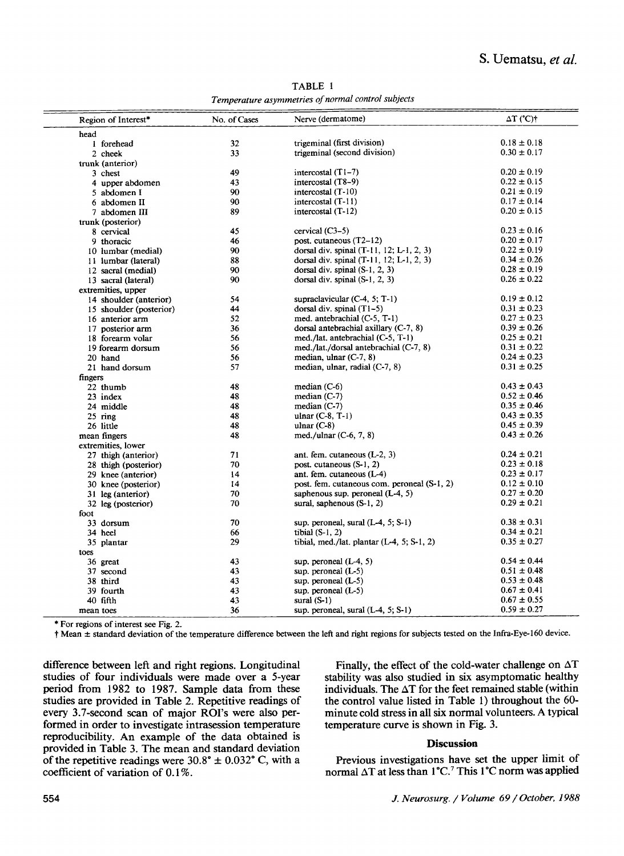TABLE 1 *Temperature asymmetries of normal control subjects* 

| Region of Interest*     | No. of Cases | Nerve (dermatome)                           | $\Delta T$ (°C)† |
|-------------------------|--------------|---------------------------------------------|------------------|
| head                    |              |                                             |                  |
| 1 forehead              | 32           | trigeminal (first division)                 | $0.18 \pm 0.18$  |
| 2 cheek                 | 33           | trigeminal (second division)                | $0.30 \pm 0.17$  |
| trunk (anterior)        |              |                                             |                  |
| 3 chest                 | 49           | intercostal $(T1-7)$                        | $0.20 \pm 0.19$  |
| 4 upper abdomen         | 43           | intercostal $(T8-9)$                        | $0.22 \pm 0.15$  |
| 5 abdomen I             | 90.          | intercostal (T-10)                          | $0.21 \pm 0.19$  |
| 6 abdomen II            | 90           | intercostal (T-11)                          | $0.17 \pm 0.14$  |
| 7 abdomen III           | 89           | intercostal $(T-12)$                        | $0.20 \pm 0.15$  |
| trunk (posterior)       |              |                                             |                  |
| 8 cervical              | 45           | $cervical (C3-5)$                           | $0.23 \pm 0.16$  |
| 9 thoracic              | 46           | post. cutaneous $(T2-12)$                   | $0.20 \pm 0.17$  |
| 10 lumbar (medial)      | 90           | dorsal div. spinal $(T-11, 12; L-1, 2, 3)$  | $0.22 \pm 0.19$  |
| 11 lumbar (lateral)     | 88           | dorsal div. spinal $(T-11, 12; L-1, 2, 3)$  | $0.34 \pm 0.26$  |
| 12 sacral (medial)      | 90           | dorsal div. spinal $(S-1, 2, 3)$            | $0.28 \pm 0.19$  |
| 13 sacral (lateral)     | 90           | dorsal div. spinal (S-1, 2, 3)              | $0.26 \pm 0.22$  |
| extremities, upper      |              |                                             |                  |
| 14 shoulder (anterior)  | 54           | supraclavicular $(C-4, 5; T-1)$             | $0.19 \pm 0.12$  |
| 15 shoulder (posterior) | 44           | dorsal div. spinal $(T1-5)$                 | $0.31 \pm 0.23$  |
| 16 anterior arm         | 52           | med. antebrachial (C-5, T-1)                | $0.27 \pm 0.23$  |
| 17 posterior arm        | 36           | dorsal antebrachial axillary $(C-7, 8)$     | $0.39 \pm 0.26$  |
| 18 forearm volar        | 56           | med./lat. antebrachial (C-5, T-1)           | $0.25 \pm 0.21$  |
| 19 forearm dorsum       | 56           | med./lat./dorsal antebrachial (C-7, 8)      | $0.31 \pm 0.22$  |
| 20 hand                 | 56           | median, ulnar $(C-7, 8)$                    | $0.24 \pm 0.23$  |
| 21 hand dorsum          | 57           | median, ulnar, radial $(C-7, 8)$            | $0.31 \pm 0.25$  |
| fingers                 |              |                                             |                  |
| 22 thumb                | 48           | median $(C-6)$                              | $0.43 \pm 0.43$  |
| 23 index                | 48           | median $(C-7)$                              | $0.52 \pm 0.46$  |
| 24 middle               | 48           | median $(C-7)$                              | $0.35 \pm 0.46$  |
| $25$ ring               | 48           | ulnar $(C-8, T-1)$                          | $0.43 \pm 0.35$  |
| 26 little               | 48           | ulnar $(C-8)$                               | $0.45 \pm 0.39$  |
| mean fingers            | 48           | med./ulnar $(C-6, 7, 8)$                    | $0.43 \pm 0.26$  |
| extremities, lower      |              |                                             |                  |
| 27 thigh (anterior)     | 71           | ant. fem. cutaneous $(L-2, 3)$              | $0.24 \pm 0.21$  |
| 28 thigh (posterior)    | 70           | post. cutaneous $(S-1, 2)$                  | $0.23 \pm 0.18$  |
| 29 knee (anterior)      | 14           | ant. fem. cutaneous $(L-4)$                 | $0.23 \pm 0.17$  |
| 30 knee (posterior)     | 14           | post. fem. cutaneous com. peroneal (S-1, 2) | $0.12 \pm 0.10$  |
| 31 leg (anterior)       | 70           | saphenous sup. peroneal $(L-4, 5)$          | $0.27 \pm 0.20$  |
| 32 leg (posterior)      | 70           | sural, saphenous $(S-1, 2)$                 | $0.29 \pm 0.21$  |
| foot                    |              |                                             |                  |
| 33 dorsum               | 70           | sup. peroneal, sural $(L-4, 5; S-1)$        | $0.38 \pm 0.31$  |
| 34 heel                 | 66           | tibial $(S-1, 2)$                           | $0.34 \pm 0.21$  |
| 35 plantar              | 29           | tibial, med./lat. plantar (L-4, 5; S-1, 2)  | $0.35 \pm 0.27$  |
| toes                    |              |                                             |                  |
| 36 great                | 43           | sup. peroneal $(L-4, 5)$                    | $0.54 \pm 0.44$  |
| 37 second               | 43           | sup. peroneal $(L-5)$                       | $0.51 \pm 0.48$  |
| 38 third                | 43           | sup. peroneal $(L-5)$                       | $0.53 \pm 0.48$  |
| 39 fourth               | 43           | sup. peroneal $(L-5)$                       | $0.67 \pm 0.41$  |
| 40 fifth                | 43           | sural $(S-1)$                               | $0.67 \pm 0.55$  |
| mean toes               | 36           | sup. peroneal, sural $(L-4, 5; S-1)$        | $0.59 \pm 0.27$  |

\* For regions of interest see Fig. 2.

t Mean + standard deviation of the temperature difference between the left and right regions for subjects tested on the Infra-Eye-160 device.

**difference between left and right regions. Longitudinal studies of four individuals were made over a 5-year period from 1982 to 1987. Sample data from these studies are provided in Table 2. Repetitive readings of every 3.7-second scan of major ROI's were also performed in order to investigate intrasession temperature reproducibility. An example of the data obtained is provided in Table 3. The mean and standard deviation**  of the repetitive readings were  $30.8^{\circ} \pm 0.032^{\circ}$  C, with a **coefficient of variation of 0.1%.** 

Finally, the effect of the cold-water challenge on  $\Delta T$ stability was also studied in six asymptomatic healthy individuals. The  $\Delta T$  for the feet remained stable (within the control value listed in Table 1) throughout the 60 minute cold stress in all six normal volunteers. A typical temperature curve is shown in Fig. 3.

## **Discussion**

Previous investigations have set the upper limit of normal  $\Delta T$  at less than  $1^{\circ}C$ . *This*  $1^{\circ}C$  norm was applied